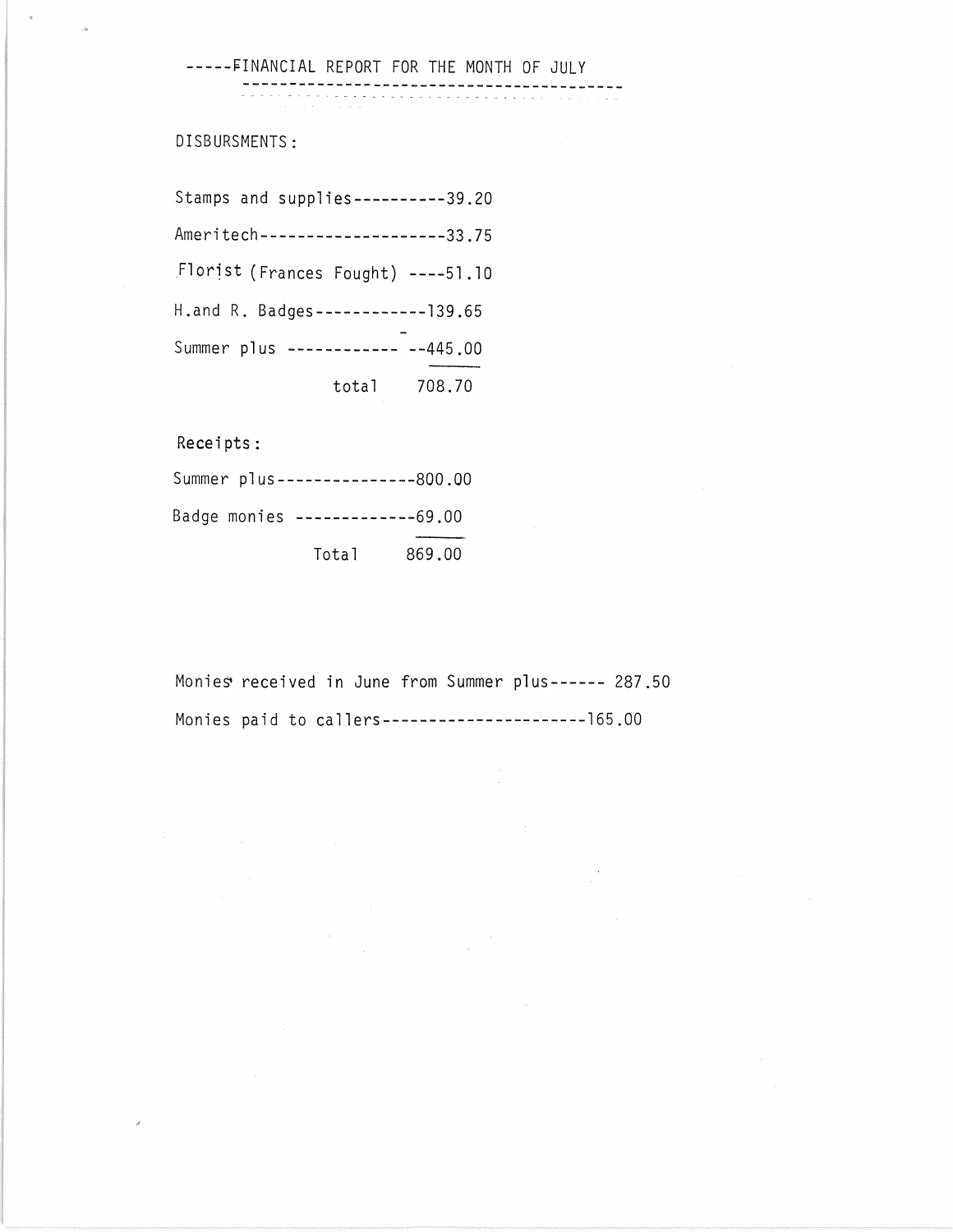-----FINANCIAL REPORT FOR THE MONTH OF JULY

**-----------------------------------------**

DISBURSMENTS:

Stamps and supplies----------39.20 Ameritech--------------------33.75 Florist (Frances Fought) ----51.10 H.and R. Badges------------139.65 Summer plus ------------ --445.00 total 708.70

Receipts:

| Summer plus ---------------800.00 |       |        |
|-----------------------------------|-------|--------|
| Badge monies -------------69.00   |       |        |
|                                   | Total | 869.00 |

 $\label{eq:2} \frac{1}{\sqrt{2}}\sum_{i=1}^n\frac{1}{\sqrt{2}}\sum_{j=1}^n\frac{1}{j!}\sum_{j=1}^n\frac{1}{j!}\sum_{j=1}^n\frac{1}{j!}\sum_{j=1}^n\frac{1}{j!}\sum_{j=1}^n\frac{1}{j!}\sum_{j=1}^n\frac{1}{j!}\sum_{j=1}^n\frac{1}{j!}\sum_{j=1}^n\frac{1}{j!}\sum_{j=1}^n\frac{1}{j!}\sum_{j=1}^n\frac{1}{j!}\sum_{j=1}^n\frac{1}{j!}\sum_{j=1}^$ 

Monies received in June from Summer plus------ 287.50 Monies paid to callers----------------------165.00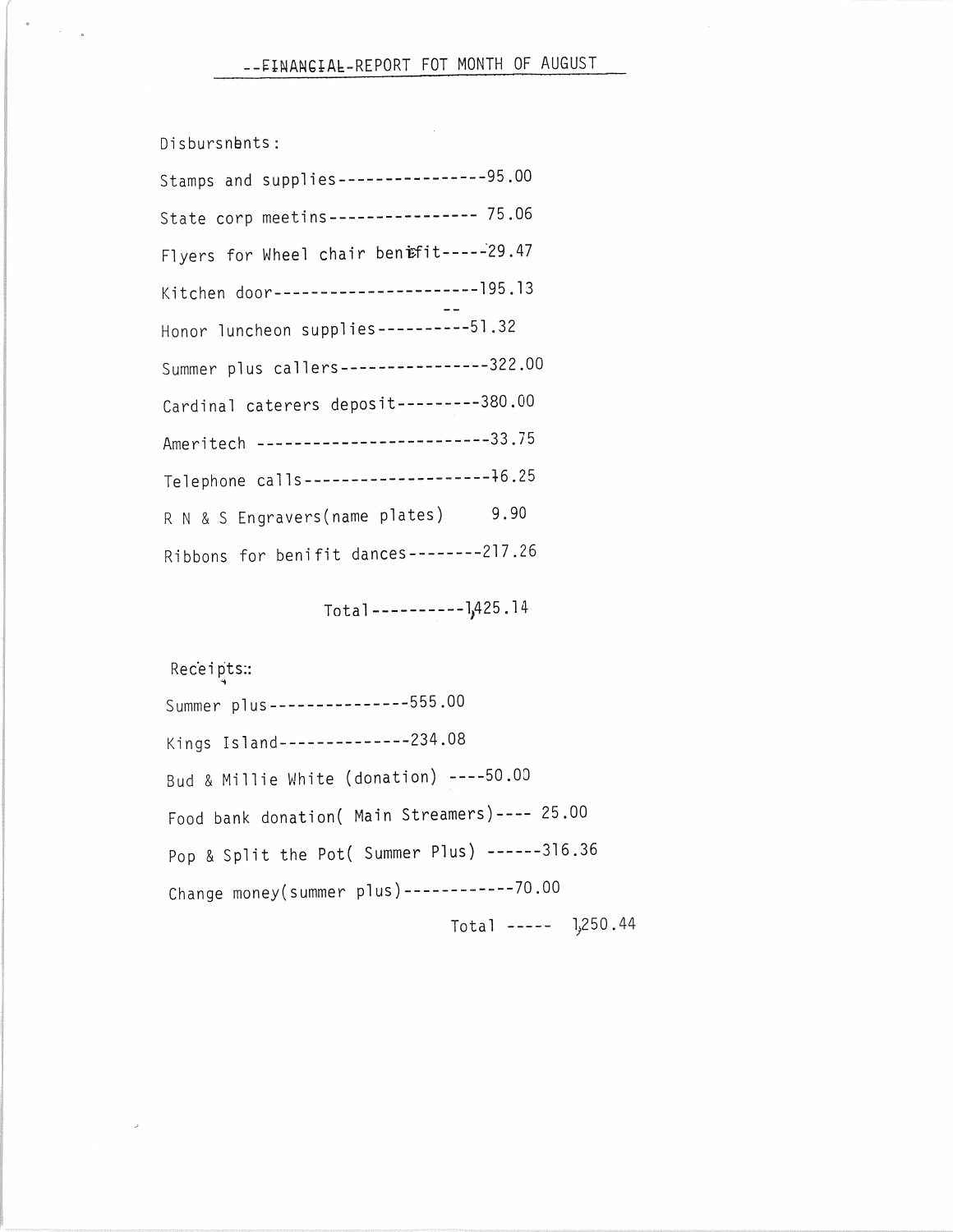Disbursnbnts:

| Stamps and supplies-----------------95.00 |  |  |
|-------------------------------------------|--|--|
| State corp meetins---------------- 75.06  |  |  |
| Flyers for Wheel chair benifit-----29.47  |  |  |
| Kitchen door-----------------------195.13 |  |  |
| Honor luncheon supplies ----------51.32   |  |  |
| Summer plus callers----------------322.00 |  |  |
| Cardinal caterers deposit---------380.00  |  |  |
| Ameritech -------------------------33.75  |  |  |
| Telephone calls---------------------46.25 |  |  |
| 9.90<br>R N & S Engravers(name plates)    |  |  |
| Ribbons for benifit dances--------217.26  |  |  |

Total-----------]<sub>1</sub>425.14

Receipts:: Summer plus---------------555.00 Kings Island--------------234.08 Bud & Millie White (donation) ----50.00 Food bank donation( Main Streamers)---- 25.00 Pop & Split the Pot( Summer Plus) ------316.36 Change money(summer plus)------------70.00  $Total$  -----  $1,250.44$